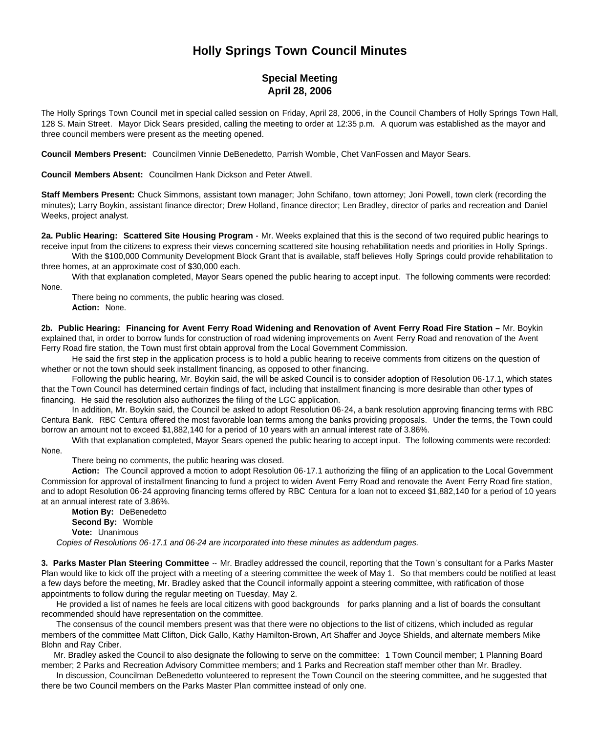## **Holly Springs Town Council Minutes**

## **Special Meeting April 28, 2006**

The Holly Springs Town Council met in special called session on Friday, April 28, 2006, in the Council Chambers of Holly Springs Town Hall, 128 S. Main Street. Mayor Dick Sears presided, calling the meeting to order at 12:35 p.m. A quorum was established as the mayor and three council members were present as the meeting opened.

**Council Members Present:** Councilmen Vinnie DeBenedetto, Parrish Womble, Chet VanFossen and Mayor Sears.

**Council Members Absent:** Councilmen Hank Dickson and Peter Atwell.

**Staff Members Present:** Chuck Simmons, assistant town manager; John Schifano, town attorney; Joni Powell, town clerk (recording the minutes); Larry Boykin, assistant finance director; Drew Holland, finance director; Len Bradley, director of parks and recreation and Daniel Weeks, project analyst.

**2a. Public Hearing: Scattered Site Housing Program -** Mr. Weeks explained that this is the second of two required public hearings to receive input from the citizens to express their views concerning scattered site housing rehabilitation needs and priorities in Holly Springs.

With the \$100,000 Community Development Block Grant that is available, staff believes Holly Springs could provide rehabilitation to three homes, at an approximate cost of \$30,000 each.

With that explanation completed, Mayor Sears opened the public hearing to accept input. The following comments were recorded: None.

There being no comments, the public hearing was closed. **Action:** None.

**2b. Public Hearing: Financing for Avent Ferry Road Widening and Renovation of Avent Ferry Road Fire Station –** Mr. Boykin explained that, in order to borrow funds for construction of road widening improvements on Avent Ferry Road and renovation of the Avent Ferry Road fire station, the Town must first obtain approval from the Local Government Commission.

He said the first step in the application process is to hold a public hearing to receive comments from citizens on the question of whether or not the town should seek installment financing, as opposed to other financing.

Following the public hearing, Mr. Boykin said, the will be asked Council is to consider adoption of Resolution 06-17.1, which states that the Town Council has determined certain findings of fact, including that installment financing is more desirable than other types of financing. He said the resolution also authorizes the filing of the LGC application.

In addition, Mr. Boykin said, the Council be asked to adopt Resolution 06-24, a bank resolution approving financing terms with RBC Centura Bank. RBC Centura offered the most favorable loan terms among the banks providing proposals. Under the terms, the Town could borrow an amount not to exceed \$1,882,140 for a period of 10 years with an annual interest rate of 3.86%.

With that explanation completed, Mayor Sears opened the public hearing to accept input. The following comments were recorded: None.

There being no comments, the public hearing was closed.

**Action:** The Council approved a motion to adopt Resolution 06-17.1 authorizing the filing of an application to the Local Government Commission for approval of installment financing to fund a project to widen Avent Ferry Road and renovate the Avent Ferry Road fire station, and to adopt Resolution 06-24 approving financing terms offered by RBC Centura for a loan not to exceed \$1,882,140 for a period of 10 years at an annual interest rate of 3.86%.

**Motion By:** DeBenedetto **Second By:** Womble **Vote:** Unanimous *Copies of Resolutions 06-17.1 and 06-24 are incorporated into these minutes as addendum pages.*

**3. Parks Master Plan Steering Committee** -- Mr. Bradley addressed the council, reporting that the Town's consultant for a Parks Master Plan would like to kick off the project with a meeting of a steering committee the week of May 1. So that members could be notified at least a few days before the meeting, Mr. Bradley asked that the Council informally appoint a steering committee, with ratification of those appointments to follow during the regular meeting on Tuesday, May 2.

He provided a list of names he feels are local citizens with good backgrounds for parks planning and a list of boards the consultant recommended should have representation on the committee.

The consensus of the council members present was that there were no objections to the list of citizens, which included as regular members of the committee Matt Clifton, Dick Gallo, Kathy Hamilton-Brown, Art Shaffer and Joyce Shields, and alternate members Mike Blohn and Ray Criber.

Mr. Bradley asked the Council to also designate the following to serve on the committee: 1 Town Council member; 1 Planning Board member; 2 Parks and Recreation Advisory Committee members; and 1 Parks and Recreation staff member other than Mr. Bradley.

In discussion, Councilman DeBenedetto volunteered to represent the Town Council on the steering committee, and he suggested that there be two Council members on the Parks Master Plan committee instead of only one.